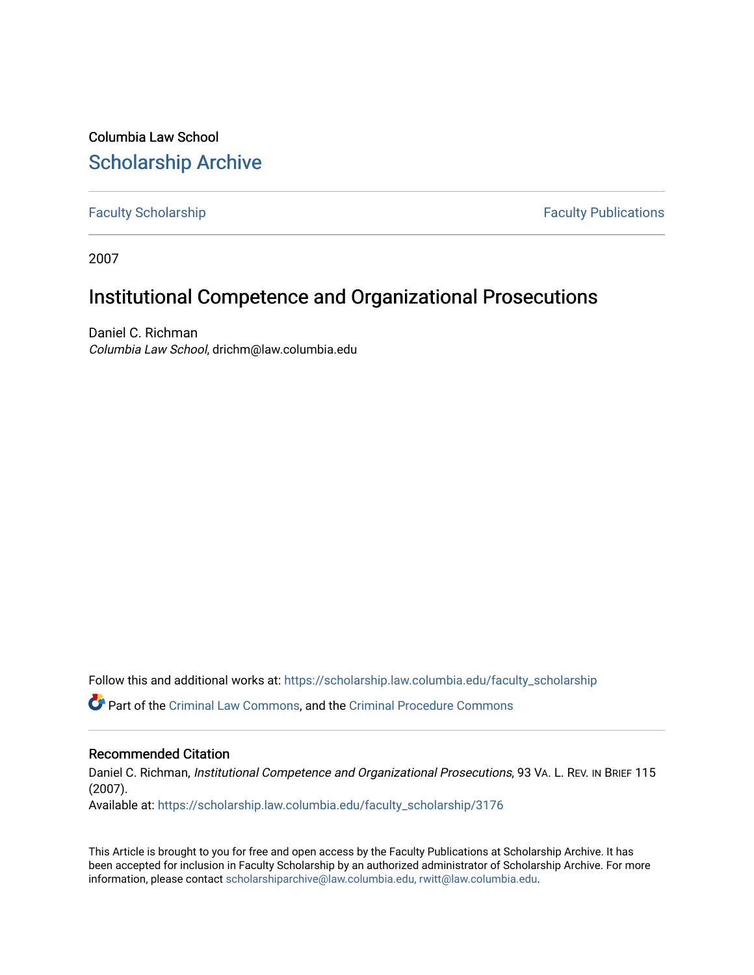Columbia Law School [Scholarship Archive](https://scholarship.law.columbia.edu/) 

[Faculty Scholarship](https://scholarship.law.columbia.edu/faculty_scholarship) **Faculty Scholarship Faculty Publications** 

2007

# Institutional Competence and Organizational Prosecutions

Daniel C. Richman Columbia Law School, drichm@law.columbia.edu

Follow this and additional works at: [https://scholarship.law.columbia.edu/faculty\\_scholarship](https://scholarship.law.columbia.edu/faculty_scholarship?utm_source=scholarship.law.columbia.edu%2Ffaculty_scholarship%2F3176&utm_medium=PDF&utm_campaign=PDFCoverPages)

Part of the [Criminal Law Commons,](http://network.bepress.com/hgg/discipline/912?utm_source=scholarship.law.columbia.edu%2Ffaculty_scholarship%2F3176&utm_medium=PDF&utm_campaign=PDFCoverPages) and the [Criminal Procedure Commons](http://network.bepress.com/hgg/discipline/1073?utm_source=scholarship.law.columbia.edu%2Ffaculty_scholarship%2F3176&utm_medium=PDF&utm_campaign=PDFCoverPages)

### Recommended Citation

Daniel C. Richman, Institutional Competence and Organizational Prosecutions, 93 VA. L. REV. IN BRIEF 115 (2007).

Available at: [https://scholarship.law.columbia.edu/faculty\\_scholarship/3176](https://scholarship.law.columbia.edu/faculty_scholarship/3176?utm_source=scholarship.law.columbia.edu%2Ffaculty_scholarship%2F3176&utm_medium=PDF&utm_campaign=PDFCoverPages)

This Article is brought to you for free and open access by the Faculty Publications at Scholarship Archive. It has been accepted for inclusion in Faculty Scholarship by an authorized administrator of Scholarship Archive. For more information, please contact [scholarshiparchive@law.columbia.edu, rwitt@law.columbia.edu](mailto:scholarshiparchive@law.columbia.edu,%20rwitt@law.columbia.edu).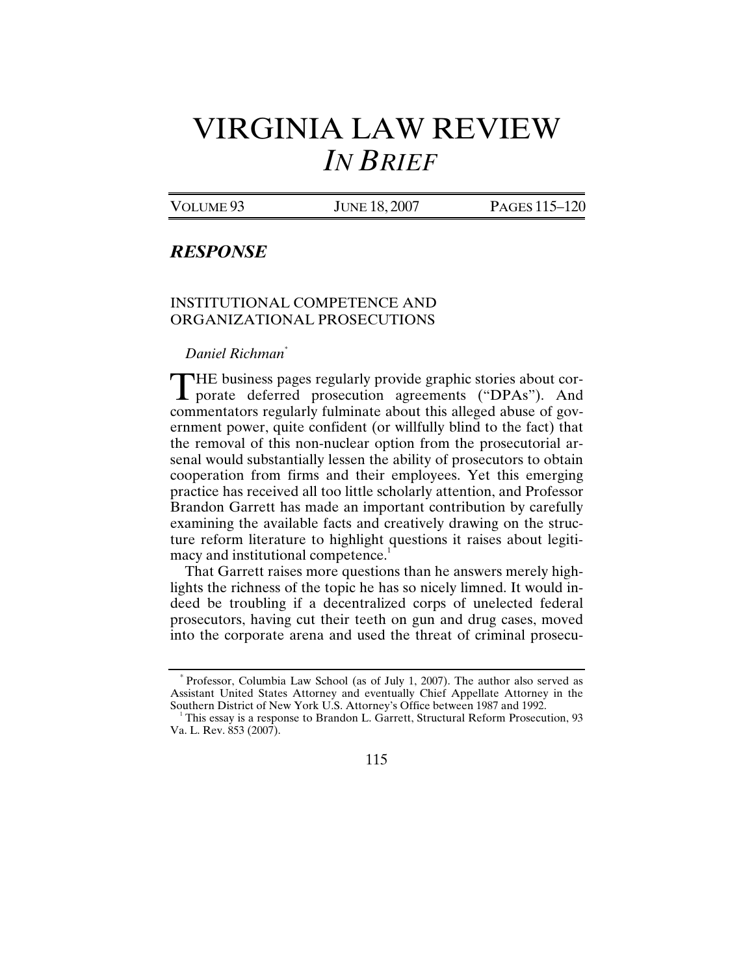# VIRGINIA LAW REVIEW *IN BRIEF*

VOLUME 93 JUNE 18, 2007 PAGES 115-120

## *RESPONSE*

### INSTITUTIONAL COMPETENCE AND ORGANIZATIONAL PROSECUTIONS

*Daniel Richman\**

HE business pages regularly provide graphic stories about cor-THE business pages regularly provide graphic stories about corporate deferred prosecution agreements ("DPAs"). And commentators regularly fulminate about this alleged abuse of government power, quite confident (or willfully blind to the fact) that the removal of this non-nuclear option from the prosecutorial arsenal would substantially lessen the ability of prosecutors to obtain cooperation from firms and their employees. Yet this emerging practice has received all too little scholarly attention, and Professor Brandon Garrett has made an important contribution by carefully examining the available facts and creatively drawing on the structure reform literature to highlight questions it raises about legitimacy and institutional competence.<sup>1</sup>

That Garrett raises more questions than he answers merely highlights the richness of the topic he has so nicely limned. It would indeed be troubling if a decentralized corps of unelected federal prosecutors, having cut their teeth on gun and drug cases, moved into the corporate arena and used the threat of criminal prosecu-

This essay is a response to Brandon L. Garrett, Structural Reform Prosecution,  $93$ Va. L. Rev. 853 (2007).



<sup>\*</sup> Professor, Columbia Law School (as of July 1, 2007). The author also served as Assistant United States Attorney and eventually Chief Appellate Attorney in the Southern District of New York U.S. Attorney's Office between 1987 and 1992.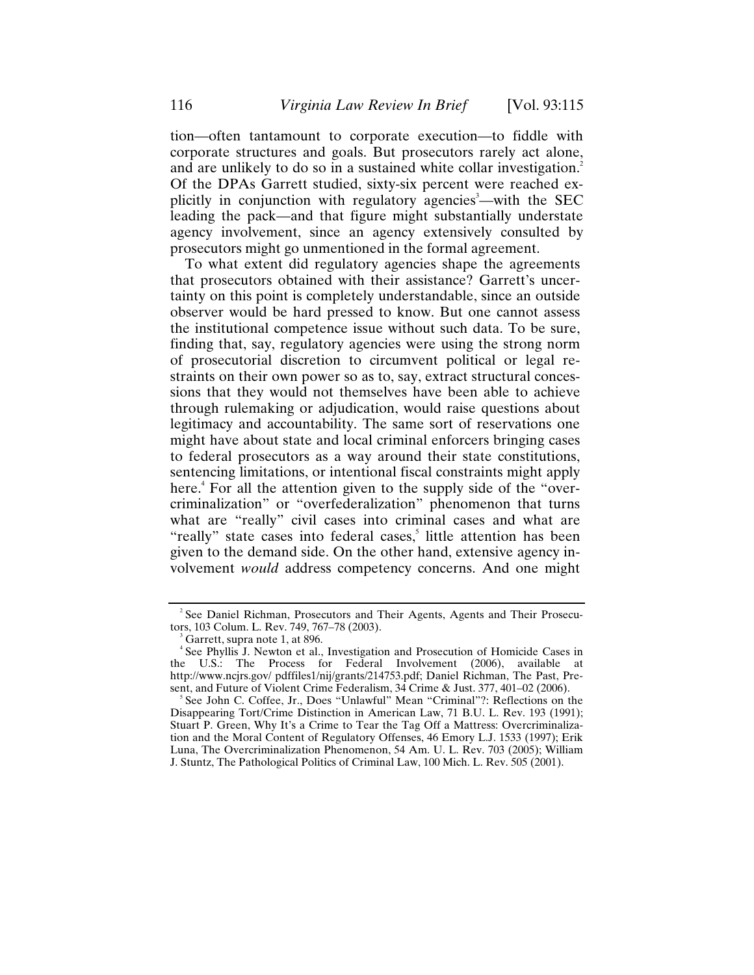tion—often tantamount to corporate execution—to fiddle with corporate structures and goals. But prosecutors rarely act alone, and are unlikely to do so in a sustained white collar investigation.<sup>2</sup> Of the DPAs Garrett studied, sixty-six percent were reached explicitly in conjunction with regulatory agencies<sup>3</sup>—with the SEC leading the pack—and that figure might substantially understate agency involvement, since an agency extensively consulted by prosecutors might go unmentioned in the formal agreement.

To what extent did regulatory agencies shape the agreements that prosecutors obtained with their assistance? Garrett's uncertainty on this point is completely understandable, since an outside observer would be hard pressed to know. But one cannot assess the institutional competence issue without such data. To be sure, finding that, say, regulatory agencies were using the strong norm of prosecutorial discretion to circumvent political or legal restraints on their own power so as to, say, extract structural concessions that they would not themselves have been able to achieve through rulemaking or adjudication, would raise questions about legitimacy and accountability. The same sort of reservations one might have about state and local criminal enforcers bringing cases to federal prosecutors as a way around their state constitutions, sentencing limitations, or intentional fiscal constraints might apply here.<sup>4</sup> For all the attention given to the supply side of the "overcriminalization" or "overfederalization" phenomenon that turns what are "really" civil cases into criminal cases and what are "really" state cases into federal cases,<sup>5</sup> little attention has been given to the demand side. On the other hand, extensive agency involvement *would* address competency concerns. And one might

<sup>&</sup>lt;sup>2</sup> See Daniel Richman, Prosecutors and Their Agents, Agents and Their Prosecutors, 103 Colum. L. Rev. 749, 767–78 (2003). 3

<sup>&</sup>lt;sup>3</sup> Garrett, supra note 1, at 896.

<sup>4</sup> See Phyllis J. Newton et al., Investigation and Prosecution of Homicide Cases in the U.S.: The Process for Federal Involvement (2006), available at http://www.ncjrs.gov/ pdffiles1/nij/grants/214753.pdf; Daniel Richman, The Past, Present, and Future of Violent Crime Federalism, 34 Crime & Just. 377, 401-02 (2006).

See John C. Coffee, Jr., Does "Unlawful" Mean "Criminal"?: Reflections on the Disappearing Tort/Crime Distinction in American Law, 71 B.U. L. Rev. 193 (1991); Stuart P. Green, Why It's a Crime to Tear the Tag Off a Mattress: Overcriminalization and the Moral Content of Regulatory Offenses, 46 Emory L.J. 1533 (1997); Erik Luna, The Overcriminalization Phenomenon, 54 Am. U. L. Rev. 703 (2005); William J. Stuntz, The Pathological Politics of Criminal Law, 100 Mich. L. Rev. 505 (2001).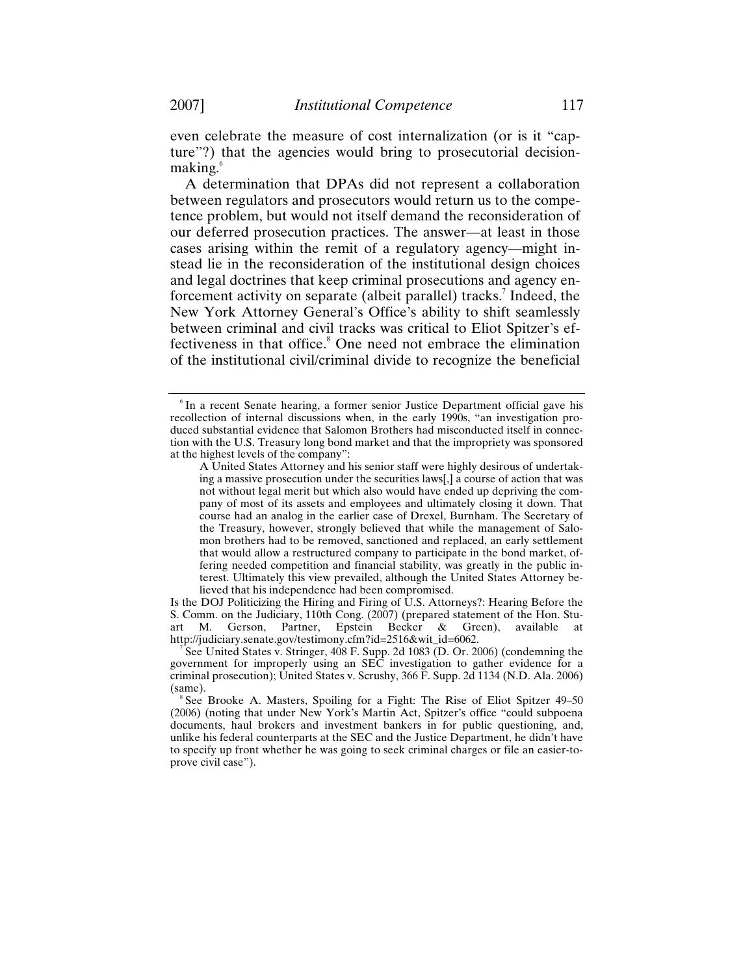even celebrate the measure of cost internalization (or is it "capture"?) that the agencies would bring to prosecutorial decisionmaking.<sup>6</sup>

A determination that DPAs did not represent a collaboration between regulators and prosecutors would return us to the competence problem, but would not itself demand the reconsideration of our deferred prosecution practices. The answer—at least in those cases arising within the remit of a regulatory agency—might instead lie in the reconsideration of the institutional design choices and legal doctrines that keep criminal prosecutions and agency enforcement activity on separate (albeit parallel) tracks.<sup>7</sup> Indeed, the New York Attorney General's Office's ability to shift seamlessly between criminal and civil tracks was critical to Eliot Spitzer's effectiveness in that office.<sup>8</sup> One need not embrace the elimination of the institutional civil/criminal divide to recognize the beneficial

Is the DOJ Politicizing the Hiring and Firing of U.S. Attorneys?: Hearing Before the S. Comm. on the Judiciary, 110th Cong. (2007) (prepared statement of the Hon. Stuart M. Gerson, Partner, Epstein Becker & Green), available at http://judiciary.senate.gov/testimony.cfm?id=2516&wit\_id=6062.

See United States v. Stringer, 408 F. Supp. 2d 1083 (D. Or. 2006) (condemning the government for improperly using an SEC investigation to gather evidence for a criminal prosecution); United States v. Scrushy, 366 F. Supp. 2d 1134 (N.D. Ala. 2006) (same).

<sup>&</sup>lt;sup>6</sup> In a recent Senate hearing, a former senior Justice Department official gave his recollection of internal discussions when, in the early 1990s, "an investigation produced substantial evidence that Salomon Brothers had misconducted itself in connection with the U.S. Treasury long bond market and that the impropriety was sponsored at the highest levels of the company":

A United States Attorney and his senior staff were highly desirous of undertaking a massive prosecution under the securities laws[,] a course of action that was not without legal merit but which also would have ended up depriving the company of most of its assets and employees and ultimately closing it down. That course had an analog in the earlier case of Drexel, Burnham. The Secretary of the Treasury, however, strongly believed that while the management of Salomon brothers had to be removed, sanctioned and replaced, an early settlement that would allow a restructured company to participate in the bond market, offering needed competition and financial stability, was greatly in the public interest. Ultimately this view prevailed, although the United States Attorney believed that his independence had been compromised.

See Brooke A. Masters, Spoiling for a Fight: The Rise of Eliot Spitzer 49–50 (2006) (noting that under New York's Martin Act, Spitzer's office "could subpoena documents, haul brokers and investment bankers in for public questioning, and, unlike his federal counterparts at the SEC and the Justice Department, he didn't have to specify up front whether he was going to seek criminal charges or file an easier-toprove civil case").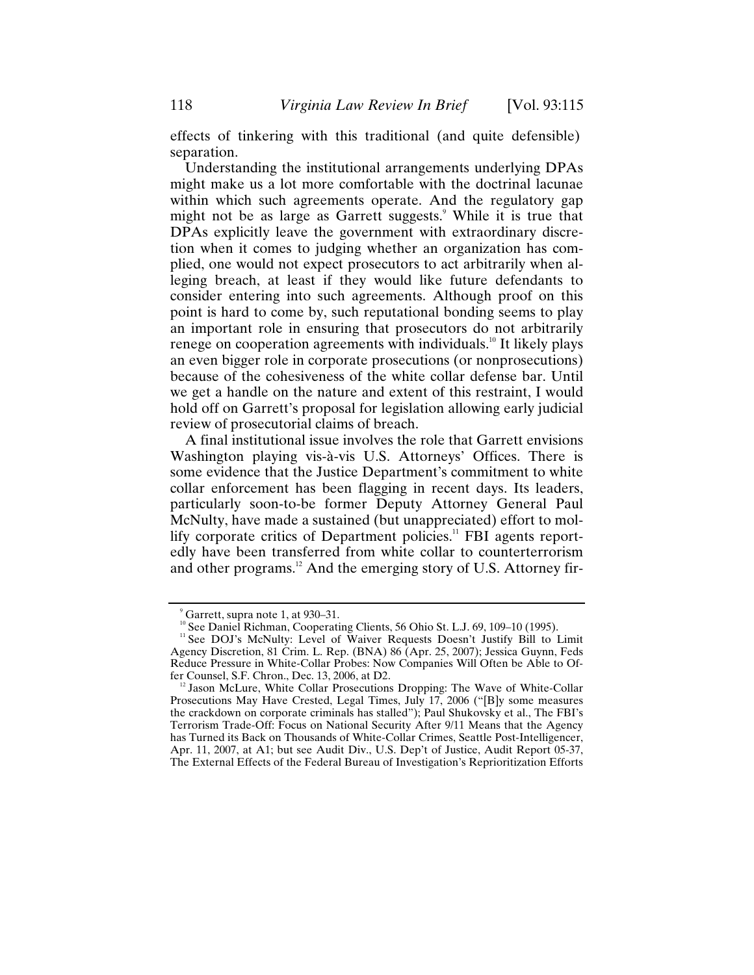effects of tinkering with this traditional (and quite defensible) separation.

Understanding the institutional arrangements underlying DPAs might make us a lot more comfortable with the doctrinal lacunae within which such agreements operate. And the regulatory gap might not be as large as Garrett suggests.<sup>9</sup> While it is true that DPAs explicitly leave the government with extraordinary discretion when it comes to judging whether an organization has complied, one would not expect prosecutors to act arbitrarily when alleging breach, at least if they would like future defendants to consider entering into such agreements. Although proof on this point is hard to come by, such reputational bonding seems to play an important role in ensuring that prosecutors do not arbitrarily renege on cooperation agreements with individuals.<sup>10</sup> It likely plays an even bigger role in corporate prosecutions (or nonprosecutions) because of the cohesiveness of the white collar defense bar. Until we get a handle on the nature and extent of this restraint, I would hold off on Garrett's proposal for legislation allowing early judicial review of prosecutorial claims of breach.

A final institutional issue involves the role that Garrett envisions Washington playing vis-à-vis U.S. Attorneys' Offices. There is some evidence that the Justice Department's commitment to white collar enforcement has been flagging in recent days. Its leaders, particularly soon-to-be former Deputy Attorney General Paul McNulty, have made a sustained (but unappreciated) effort to mollify corporate critics of Department policies.<sup>11</sup> FBI agents reportedly have been transferred from white collar to counterterrorism and other programs.<sup>12</sup> And the emerging story of U.S. Attorney fir-

<sup>9</sup> Garrett, supra note 1, at 930–31.

<sup>&</sup>lt;sup>10</sup> See Daniel Richman, Cooperating Clients, 56 Ohio St. L.J. 69, 109–10 (1995).<br><sup>11</sup> See DOJ's McNulty: Level of Waiver Requests Doesn't Justify Bill to Limit Agency Discretion, 81 Crim. L. Rep. (BNA) 86 (Apr. 25, 2007); Jessica Guynn, Feds Reduce Pressure in White-Collar Probes: Now Companies Will Often be Able to Offer Counsel, S.F. Chron., Dec. 13, 2006, at D2.

 $^{12}$  Jason McLure, White Collar Prosecutions Dropping: The Wave of White-Collar Prosecutions May Have Crested, Legal Times, July 17, 2006 ("[B]y some measures the crackdown on corporate criminals has stalled"); Paul Shukovsky et al., The FBI's Terrorism Trade-Off: Focus on National Security After 9/11 Means that the Agency has Turned its Back on Thousands of White-Collar Crimes, Seattle Post-Intelligencer, Apr. 11, 2007, at A1; but see Audit Div., U.S. Dep't of Justice, Audit Report 05-37, The External Effects of the Federal Bureau of Investigation's Reprioritization Efforts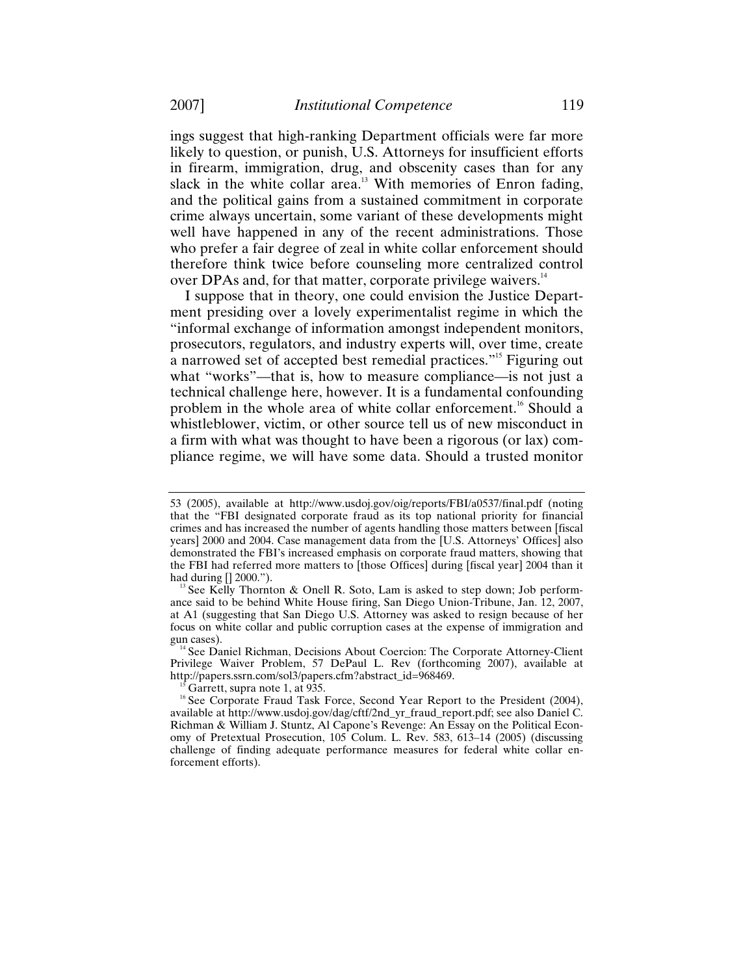ings suggest that high-ranking Department officials were far more likely to question, or punish, U.S. Attorneys for insufficient efforts in firearm, immigration, drug, and obscenity cases than for any slack in the white collar area.<sup>13</sup> With memories of Enron fading, and the political gains from a sustained commitment in corporate crime always uncertain, some variant of these developments might well have happened in any of the recent administrations. Those who prefer a fair degree of zeal in white collar enforcement should therefore think twice before counseling more centralized control over DPAs and, for that matter, corporate privilege waivers.<sup>14</sup>

I suppose that in theory, one could envision the Justice Department presiding over a lovely experimentalist regime in which the "informal exchange of information amongst independent monitors, prosecutors, regulators, and industry experts will, over time, create a narrowed set of accepted best remedial practices."15 Figuring out what "works"—that is, how to measure compliance—is not just a technical challenge here, however. It is a fundamental confounding problem in the whole area of white collar enforcement.<sup>16</sup> Should a whistleblower, victim, or other source tell us of new misconduct in a firm with what was thought to have been a rigorous (or lax) compliance regime, we will have some data. Should a trusted monitor

Privilege Waiver Problem, 57 DePaul L. Rev (forthcoming 2007), available at

<sup>53 (2005),</sup> available at http://www.usdoj.gov/oig/reports/FBI/a0537/final.pdf (noting that the "FBI designated corporate fraud as its top national priority for financial crimes and has increased the number of agents handling those matters between [fiscal years] 2000 and 2004. Case management data from the [U.S. Attorneys' Offices] also demonstrated the FBI's increased emphasis on corporate fraud matters, showing that the FBI had referred more matters to [those Offices] during [fiscal year] 2004 than it had during [] 2000.").

 $\frac{13}{3}$  See Kelly Thornton & Onell R. Soto, Lam is asked to step down; Job performance said to be behind White House firing, San Diego Union-Tribune, Jan. 12, 2007, at A1 (suggesting that San Diego U.S. Attorney was asked to resign because of her focus on white collar and public corruption cases at the expense of immigration and gun cases).<br><sup>14</sup> See Daniel Richman, Decisions About Coercion: The Corporate Attorney-Client

<sup>&</sup>lt;sup>15</sup> Garrett, supra note 1, at 935. 16 Second Year Report to the President (2004), <sup>16</sup> See Corporate Fraud Task Force, Second Year Report to the President (2004), available at http://www.usdoj.gov/dag/cftf/2nd\_yr\_fraud\_report.pdf; see also Daniel C. Richman & William J. Stuntz, Al Capone's Revenge: An Essay on the Political Economy of Pretextual Prosecution, 105 Colum. L. Rev. 583, 613–14 (2005) (discussing challenge of finding adequate performance measures for federal white collar enforcement efforts).